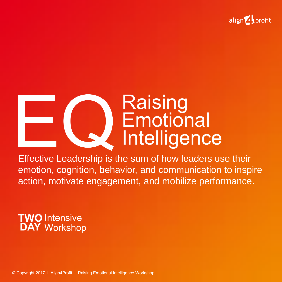

# Raising<br>Emotion<br>Effective Leadership is the sum of how lea **Emotional** Intelligence

Effective Leadership is the sum of how leaders use their emotion, cognition, behavior, and communication to inspire action, motivate engagement, and mobilize performance.

### **TWO** Intensive **DAY** Workshop

© Copyright 2017 l Align4Profit | Raising Emotional Intelligence Workshop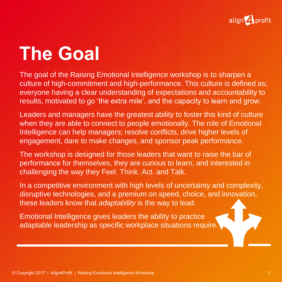

## **The Goal**

The goal of the Raising Emotional Intelligence workshop is to sharpen a culture of high-commitment and high-performance. This culture is defined as; everyone having a clear understanding of expectations and accountability to results, motivated to go 'the extra mile', and the capacity to learn and grow.

Leaders and managers have the greatest ability to foster this kind of culture when they are able to connect to people emotionally. The role of Emotional Intelligence can help managers; resolve conflicts, drive higher levels of engagement, dare to make changes, and sponsor peak performance.

The workshop is designed for those leaders that want to raise the bar of performance for themselves, they are curious to learn, and interested in challenging the way they Feel. Think. Act. and Talk.

In a competitive environment with high levels of uncertainty and complexity, disruptive technologies, and a premium on speed, choice, and innovation, these leaders know that *adaptability* is the way to lead.

Emotional Intelligence gives leaders the ability to practice adaptable leadership as specific workplace situations require.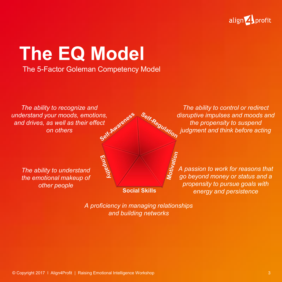

### **The EQ Model**

#### The 5-Factor Goleman Competency Model

*The ability to recognize and understand your moods, emotions, and drives, as well as their effect on others*

> *The ability to understand the emotional makeup of other people*

*The ability to control or redirect disruptive impulses and moods and the propensity to suspend*<br>the propensity to suspend<br>think before acting *the propensity to suspend judgment and think before acting*

> **A**<br>  $\frac{5}{x^2}$ <br>
> A passion to work for reasons that<br> **S** ao bevond money or status and a *go beyond money or status and a propensity to pursue goals with energy and persistence*

*A proficiency in managing relationships and building networks*

**Social Skills**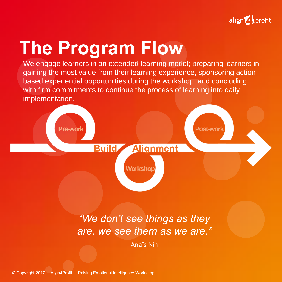

## **The Program Flow**

We engage learners in an extended learning model; preparing learners in gaining the most value from their learning experience, sponsoring actionbased experiential opportunities during the workshop, and concluding with firm commitments to continue the process of learning into daily implementation.



### *"We don't see things as they are, we see them as we are."*

Anaïs Nin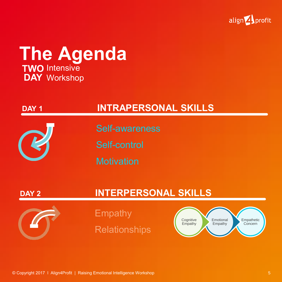

### **The Agenda TWO** Intensive **DAY** Workshop

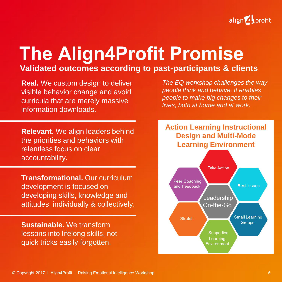

## **The Align4Profit Promise**

#### **Validated outcomes according to past-participants & clients**

**Real.** We custom design to deliver visible behavior change and avoid curricula that are merely massive information downloads.

**Relevant.** We align leaders behind the priorities and behaviors with relentless focus on clear accountability.

**Transformational.** Our curriculum development is focused on developing skills, knowledge and attitudes, individually & collectively.

**Sustainable.** We transform lessons into lifelong skills, not quick tricks easily forgotten.

*The EQ workshop challenges the way people think and behave. It enables people to make big changes to their lives, both at home and at work.* 

#### **Action Learning Instructional Design and Multi-Mode Learning Environment**

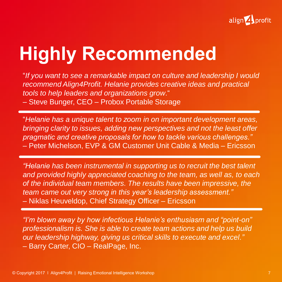

## **Highly Recommended**

"*If you want to see a remarkable impact on culture and leadership I would recommend Align4Profit. Helanie provides creative ideas and practical tools to help leaders and organizations grow*."

– Steve Bunger, CEO – Probox Portable Storage

"*Helanie has a unique talent to zoom in on important development areas, bringing clarity to issues, adding new perspectives and not the least offer pragmatic and creative proposals for how to tackle various challenges."*  – Peter Michelson, EVP & GM Customer Unit Cable & Media – Ericsson

*"Helanie has been instrumental in supporting us to recruit the best talent and provided highly appreciated coaching to the team, as well as, to each of the individual team members. The results have been impressive, the team came out very strong in this year's leadership assessment."* – Niklas Heuveldop, Chief Strategy Officer – Ericsson

*"I'm blown away by how infectious Helanie's enthusiasm and "point-on" professionalism is. She is able to create team actions and help us build our leadership highway, giving us critical skills to execute and excel."*  – Barry Carter, CIO – RealPage, Inc.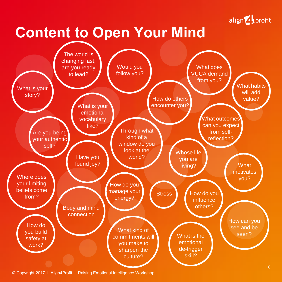

### **Content to Open Your Mind**



© Copyright 2017 l Align4Profit | Raising Emotional Intelligence Workshop